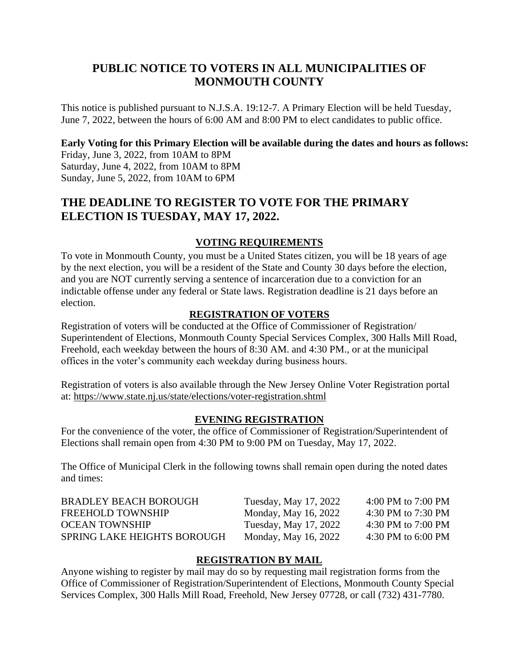# **PUBLIC NOTICE TO VOTERS IN ALL MUNICIPALITIES OF MONMOUTH COUNTY**

This notice is published pursuant to N.J.S.A. 19:12-7. A Primary Election will be held Tuesday, June 7, 2022, between the hours of 6:00 AM and 8:00 PM to elect candidates to public office.

### **Early Voting for this Primary Election will be available during the dates and hours as follows:**

Friday, June 3, 2022, from 10AM to 8PM Saturday, June 4, 2022, from 10AM to 8PM Sunday, June 5, 2022, from 10AM to 6PM

# **THE DEADLINE TO REGISTER TO VOTE FOR THE PRIMARY ELECTION IS TUESDAY, MAY 17, 2022.**

### **VOTING REQUIREMENTS**

To vote in Monmouth County, you must be a United States citizen, you will be 18 years of age by the next election, you will be a resident of the State and County 30 days before the election, and you are NOT currently serving a sentence of incarceration due to a conviction for an indictable offense under any federal or State laws. Registration deadline is 21 days before an election.

#### **REGISTRATION OF VOTERS**

Registration of voters will be conducted at the Office of Commissioner of Registration/ Superintendent of Elections, Monmouth County Special Services Complex, 300 Halls Mill Road, Freehold, each weekday between the hours of 8:30 AM. and 4:30 PM., or at the municipal offices in the voter's community each weekday during business hours.

Registration of voters is also available through the New Jersey Online Voter Registration portal at: <https://www.state.nj.us/state/elections/voter-registration.shtml>

#### **EVENING REGISTRATION**

For the convenience of the voter, the office of Commissioner of Registration/Superintendent of Elections shall remain open from 4:30 PM to 9:00 PM on Tuesday, May 17, 2022.

The Office of Municipal Clerk in the following towns shall remain open during the noted dates and times:

| 4:00 PM to $7:00$ PM<br>Tuesday, May 17, 2022 |
|-----------------------------------------------|
| 4:30 PM to 7:30 PM<br>Monday, May 16, 2022    |
| 4:30 PM to $7:00$ PM<br>Tuesday, May 17, 2022 |
| 4:30 PM to $6:00$ PM<br>Monday, May 16, 2022  |
|                                               |

#### **REGISTRATION BY MAIL**

Anyone wishing to register by mail may do so by requesting mail registration forms from the Office of Commissioner of Registration/Superintendent of Elections, Monmouth County Special Services Complex, 300 Halls Mill Road, Freehold, New Jersey 07728, or call (732) 431-7780.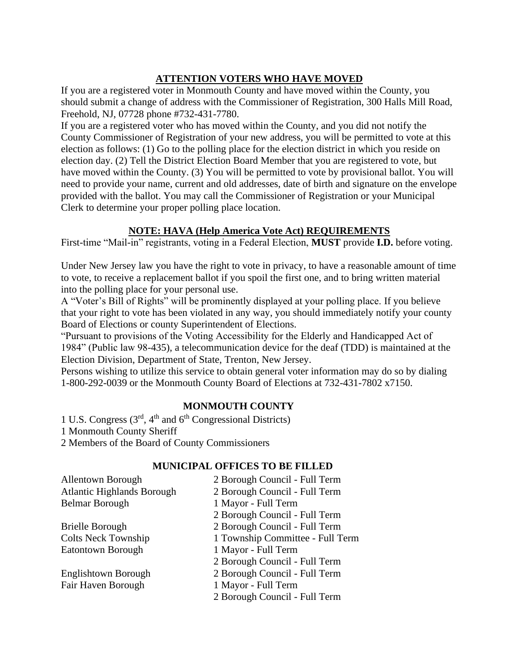## **ATTENTION VOTERS WHO HAVE MOVED**

If you are a registered voter in Monmouth County and have moved within the County, you should submit a change of address with the Commissioner of Registration, 300 Halls Mill Road, Freehold, NJ, 07728 phone #732-431-7780.

If you are a registered voter who has moved within the County, and you did not notify the County Commissioner of Registration of your new address, you will be permitted to vote at this election as follows: (1) Go to the polling place for the election district in which you reside on election day. (2) Tell the District Election Board Member that you are registered to vote, but have moved within the County. (3) You will be permitted to vote by provisional ballot. You will need to provide your name, current and old addresses, date of birth and signature on the envelope provided with the ballot. You may call the Commissioner of Registration or your Municipal Clerk to determine your proper polling place location.

## **NOTE: HAVA (Help America Vote Act) REQUIREMENTS**

First-time "Mail-in" registrants, voting in a Federal Election, **MUST** provide **I.D.** before voting.

Under New Jersey law you have the right to vote in privacy, to have a reasonable amount of time to vote, to receive a replacement ballot if you spoil the first one, and to bring written material into the polling place for your personal use.

A "Voter's Bill of Rights" will be prominently displayed at your polling place. If you believe that your right to vote has been violated in any way, you should immediately notify your county Board of Elections or county Superintendent of Elections.

"Pursuant to provisions of the Voting Accessibility for the Elderly and Handicapped Act of 1984" (Public law 98-435), a telecommunication device for the deaf (TDD) is maintained at the Election Division, Department of State, Trenton, New Jersey.

Persons wishing to utilize this service to obtain general voter information may do so by dialing 1-800-292-0039 or the Monmouth County Board of Elections at 732-431-7802 x7150.

## **MONMOUTH COUNTY**

1 U.S. Congress  $(3<sup>rd</sup>, 4<sup>th</sup>$  and  $6<sup>th</sup>$  Congressional Districts) 1 Monmouth County Sheriff 2 Members of the Board of County Commissioners

## **MUNICIPAL OFFICES TO BE FILLED**

| <b>Allentown Borough</b>          | 2 Borough Council - Full Term    |
|-----------------------------------|----------------------------------|
| <b>Atlantic Highlands Borough</b> | 2 Borough Council - Full Term    |
| <b>Belmar Borough</b>             | 1 Mayor - Full Term              |
|                                   | 2 Borough Council - Full Term    |
| <b>Brielle Borough</b>            | 2 Borough Council - Full Term    |
| <b>Colts Neck Township</b>        | 1 Township Committee - Full Term |
| <b>Eatontown Borough</b>          | 1 Mayor - Full Term              |
|                                   | 2 Borough Council - Full Term    |
| Englishtown Borough               | 2 Borough Council - Full Term    |
| Fair Haven Borough                | 1 Mayor - Full Term              |
|                                   | 2 Borough Council - Full Term    |
|                                   |                                  |